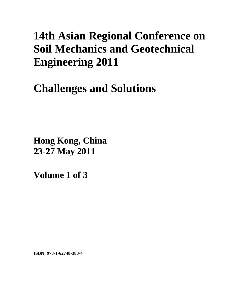# **14th Asian Regional Conference on Soil Mechanics and Geotechnical Engineering 2011**

# **Challenges and Solutions**

**Hong Kong, China 23-27 May 2011**

**Volume 1 of 3** 

**ISBN: 978-1-62748-383-4**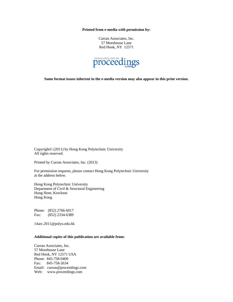**Printed from e-media with permission by:** 

Curran Associates, Inc. 57 Morehouse Lane Red Hook, NY 12571



**Some format issues inherent in the e-media version may also appear in this print version.** 

Copyright© (2011) by Hong Kong Polytechnic University All rights reserved.

Printed by Curran Associates, Inc. (2013)

For permission requests, please contact Hong Kong Polytechnic University at the address below.

Hong Kong Polytechnic University Department of Civil & Structural Engineering Hung Hom, Kowloon Hong Kong

Phone: (852) 2766-6017 Fax: (852) 2334-6389

14arc.2011@polyu.edu.hk

#### **Additional copies of this publication are available from:**

Curran Associates, Inc. 57 Morehouse Lane Red Hook, NY 12571 USA Phone: 845-758-0400 Fax: 845-758-2634 Email: curran@proceedings.com Web: www.proceedings.com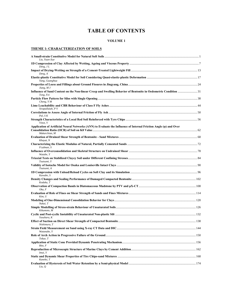# **TABLE OF CONTENTS**

#### **VOLUME 1**

#### **THEME 1: CHARACTERIZATION OF SOILS**

| Liu, Yuan-Xue                                                                                                                      |  |
|------------------------------------------------------------------------------------------------------------------------------------|--|
| Deng, $JL$                                                                                                                         |  |
| Deng, A                                                                                                                            |  |
| Yang, Guanghua                                                                                                                     |  |
| Jiang, $MJ$                                                                                                                        |  |
| Influence of Sand Content on the Non-linear Creep and Swelling Behavior of Bentonite in Oedometric Condition 31<br>Tong, Fei       |  |
| Cheng, $YM$                                                                                                                        |  |
| Sivapullaiah, P V                                                                                                                  |  |
| Pal, $S$ $K$                                                                                                                       |  |
| Vinot. V                                                                                                                           |  |
| Application of Artificial Neural Networks (ANN) to Evaluate the Influence of Internal Friction Angle (φ) and Over<br>Makarchian, M |  |
| Khayat, N                                                                                                                          |  |
| Frydman, S                                                                                                                         |  |
| Watabe, Y                                                                                                                          |  |
| Tsutsumi, Y                                                                                                                        |  |
| Tsutsumi, A                                                                                                                        |  |
| Kawabe, S                                                                                                                          |  |
| Kodaka, T                                                                                                                          |  |
| Oka, F                                                                                                                             |  |
| Kim, U                                                                                                                             |  |
| Nakai, T                                                                                                                           |  |
| Kikumoto, M                                                                                                                        |  |
| Yasuhara, K                                                                                                                        |  |
| Nishimura T                                                                                                                        |  |
| Watanabe, Y                                                                                                                        |  |
| Tokue, T                                                                                                                           |  |
| Rito, F                                                                                                                            |  |
| Imai, Y                                                                                                                            |  |
| Kaneko, T                                                                                                                          |  |
| Liu, $Q$                                                                                                                           |  |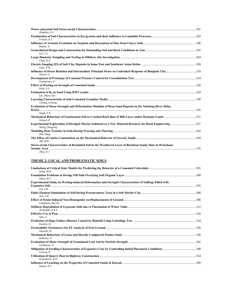| Zhakulin, A S                                                                                                            |     |
|--------------------------------------------------------------------------------------------------------------------------|-----|
| Usenov, $KJ$                                                                                                             |     |
| Kumar, A                                                                                                                 |     |
| Lee, TL                                                                                                                  |     |
| Chua, KE                                                                                                                 |     |
| Giao, P H                                                                                                                |     |
| Yimsiri. S                                                                                                               |     |
| Voottipruex, P                                                                                                           |     |
| Park, S-S                                                                                                                |     |
| Lee, Moon-Joo                                                                                                            |     |
| Truong, Q Hung                                                                                                           |     |
| Evaluation of Shear Strength and Deformation Modulus of Deep Sand Deposits in the Nakdong River Delta,                   |     |
| Singh, $VK$                                                                                                              |     |
| Siripun, K                                                                                                               |     |
| Experimental Exploration of Dredged Marine Sediment as a New Material Resource for Road Engineering257<br>Wang, Dongxing |     |
| Zhu, Ming                                                                                                                |     |
| Adl, $M$ $R$                                                                                                             |     |
| Stress-strain Characteristics of Remolded Soil in the Weathered Laver of Beichuan Sandy Slate in Wenchuan                |     |
| <b>Seismic Area</b><br>Zhou, XJ                                                                                          | 276 |

#### **THEME 2: LOCAL AND PROBLEMATIC SOILS**

| Islam, $M K$                                                                                           |  |
|--------------------------------------------------------------------------------------------------------|--|
| Islam, M S                                                                                             |  |
| Experimental Study on Wetting-induced Deformation and Strength Characteristics of Soilbags Filled with |  |
|                                                                                                        |  |
| Liu, $S$ H                                                                                             |  |
| Jain, $S K$                                                                                            |  |
| Lakshman, Rao M.                                                                                       |  |
| $Al-Saoudi, NK S$                                                                                      |  |
|                                                                                                        |  |
| Sato. A                                                                                                |  |
| Kaneko, H                                                                                              |  |
| Hayashi, H                                                                                             |  |
|                                                                                                        |  |
| Kikkawa, N                                                                                             |  |
| Yoshimoto, N                                                                                           |  |
| Farooq, K                                                                                              |  |
| Priyankara, NH                                                                                         |  |
| Ismael, N F                                                                                            |  |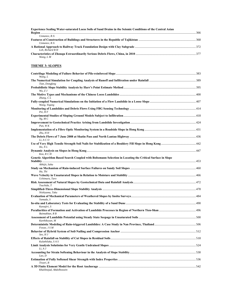**Experience Sealing Water-saturated Loess Soils of Sand Drains in the Seismic Conditions of the Central Asian Region** ..............................................................................................................................................................................................................366 *Usmanov, R A*  **Features of Construction of Buildings and Structures in the Republic of Tajikistan** ............................................................................368 *Usmanov, R A*  **A Rational Approach to Railway Track Foundation Design with Clay Subgrade** .................................................................................372 *Loh, Richard B H*  **Characteristics of Zhouqu Extraordinarily Serious Debris Flows, China, in 2010** ................................................................................377 *Wang, L M* 

#### **THEME 3: SLOPES**

| Wang, L                                                                                                                    |  |
|----------------------------------------------------------------------------------------------------------------------------|--|
| Tian, Dongfang                                                                                                             |  |
| $Wu$ , $ZJ$                                                                                                                |  |
| Zhang, $CL$                                                                                                                |  |
| Wang, Yiqang                                                                                                               |  |
| $Pei$ , $HF$                                                                                                               |  |
| Ng, M C                                                                                                                    |  |
| Pun, WK                                                                                                                    |  |
| $Zhu$ , $H H$                                                                                                              |  |
| Li, A C O                                                                                                                  |  |
| Ho, NL                                                                                                                     |  |
| Koo, R C H                                                                                                                 |  |
| Genetic Algorithm Based Search Coupled with Boltzmann Selection in Locating the Critical Surface in Slope<br>Abhijit, Saha |  |
| Ha. Thi                                                                                                                    |  |
| Uchimura, Taro                                                                                                             |  |
| Tsuchida, T                                                                                                                |  |
| Nishiyama, Taku                                                                                                            |  |
| Yamada, S                                                                                                                  |  |
| Kawajiri, S                                                                                                                |  |
| Baimakhan, R B                                                                                                             |  |
| Karthikeyan, M                                                                                                             |  |
| Fowze, J S M                                                                                                               |  |
| $Seo$ , $HJ$                                                                                                               |  |
| Kulathilaka, SAS                                                                                                           |  |
| Li, AJ                                                                                                                     |  |
| Lao, D                                                                                                                     |  |
| Tiwari, B                                                                                                                  |  |
| Khalilnejad, Abdolhossein                                                                                                  |  |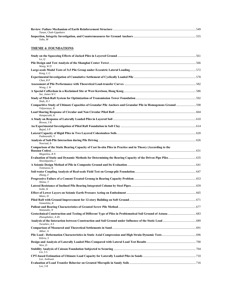| Tanan, Chub-Uppakarn |  |
|----------------------|--|
|                      |  |
| Yabu. M              |  |

#### **THEME 4: FOUNDATIONS**

| Lu, $Q$                                                                                                                     |  |
|-----------------------------------------------------------------------------------------------------------------------------|--|
| Wang, WD                                                                                                                    |  |
| Kong, LG                                                                                                                    |  |
| Chen, RP                                                                                                                    |  |
| Wong, LW                                                                                                                    |  |
| A Special Cofferdam in a Reclaimed Site at West Kowloon, Hong Kong……………………………………………………………………………………586<br>Sze. James W C     |  |
| Shah, H J                                                                                                                   |  |
| Vidyaranya, B                                                                                                               |  |
| Ilamparuthi, K                                                                                                              |  |
| Biswas, SK                                                                                                                  |  |
| Bajad, SP                                                                                                                   |  |
| Padmavathi, V                                                                                                               |  |
| Noorzad, A                                                                                                                  |  |
| Comparison of the Static Bearing Capacity of Cast In-situ Piles in Practice and in Theory (According to the<br>Moganlou, RN |  |
| Shooshpasha, I                                                                                                              |  |
| Tomisawa, K                                                                                                                 |  |
| Zhang, F                                                                                                                    |  |
| Shiina. T                                                                                                                   |  |
| Isobe, K                                                                                                                    |  |
| Mano, H                                                                                                                     |  |
| Yamashita, K                                                                                                                |  |
| Watanabe, N                                                                                                                 |  |
| Zhusupbekov, A Zh                                                                                                           |  |
| Turashev, A S                                                                                                               |  |
| Akbar, A                                                                                                                    |  |
| Kibria, S                                                                                                                   |  |
| Wen, D                                                                                                                      |  |
| Lin, S S                                                                                                                    |  |
| Lee, Junhwan                                                                                                                |  |
| Lee, $S$ $R$                                                                                                                |  |
|                                                                                                                             |  |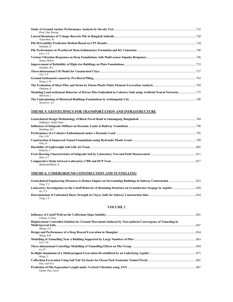| Park, Dae Woong                                                                                                                 |  |
|---------------------------------------------------------------------------------------------------------------------------------|--|
|                                                                                                                                 |  |
| Teparaksa, W<br>Sahajda, K                                                                                                      |  |
| Liew. S S                                                                                                                       |  |
| Wang, Helsin                                                                                                                    |  |
| Nuzhdin, M L                                                                                                                    |  |
| Yao, $YP$                                                                                                                       |  |
| Wong, LW                                                                                                                        |  |
| Okajima, K                                                                                                                      |  |
| Modeling Load-settlement Behavior of Driven Piles Embedded in Cohesive Soils using Artificial Neural Networks775<br>Alkroosh. I |  |
| Nevzorov, A L                                                                                                                   |  |

# **THEME 5: GEOTECHNICS FOR TRANSPORTATION AND INFRASTRUCTURE**

| Siddiquee, Saiful Alam |  |
|------------------------|--|
| Hanbing, H U           |  |
| Dev, $A K$             |  |
| Ishii. H               |  |
| Kikuchi. Y<br>Shin E C |  |
| Bandyopadhyay, K       |  |

# **THEME 6: UNDERGROUND CONSTRUCTION AND TUNNELLING**

| Teng, Y J   |  |
|-------------|--|
|             |  |
| $Xu$ , $YS$ |  |
|             |  |
| Tong, $LY$  |  |

#### **VOLUME 2**

| Chang, Li-Ying                                                                                           |  |
|----------------------------------------------------------------------------------------------------------|--|
| Displacement Controlled Solution for Ground Movements Induced by Non-uniform Convergence of Tunneling in |  |
|                                                                                                          |  |
| Zhang, $Z$ G                                                                                             |  |
|                                                                                                          |  |
| Wang, H R                                                                                                |  |
|                                                                                                          |  |
| Lee, $S$ W                                                                                               |  |
|                                                                                                          |  |
| Lu. H                                                                                                    |  |
|                                                                                                          |  |
| Hong, Y                                                                                                  |  |
|                                                                                                          |  |
| Pan. Jack K L                                                                                            |  |
|                                                                                                          |  |
| Kumar Das, Sarat                                                                                         |  |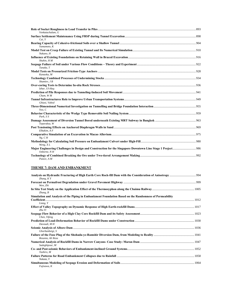| Venkatachalam. G                                                                                                           |  |
|----------------------------------------------------------------------------------------------------------------------------|--|
| Cui. Y                                                                                                                     |  |
| Yamamoto, K                                                                                                                |  |
| Nakano, H                                                                                                                  |  |
| Shahin, H M                                                                                                                |  |
| Tanaka, T                                                                                                                  |  |
| Kanaoka, M                                                                                                                 |  |
| Shamiev, J B                                                                                                               |  |
| Izhar, Ul-Haq                                                                                                              |  |
| $Cham.$ $WM$                                                                                                               |  |
| Ghiasi, Vahed                                                                                                              |  |
| Yoo, $C$                                                                                                                   |  |
| Park. S S                                                                                                                  |  |
| Teparaksa, W                                                                                                               |  |
| Elhakim, A F                                                                                                               |  |
| Ng, C H                                                                                                                    |  |
| Weng, XL                                                                                                                   |  |
| Major Engineering Challenges in Design and Construction for the Singapore Downtown Line Stage 1 Project 986<br>Osborne, NH |  |
| Paizov. A M                                                                                                                |  |

#### **THEME 7: DAM AND EMBANKMENT**

| Zhang, $KY$                                                                                            |  |
|--------------------------------------------------------------------------------------------------------|--|
| Wen. Zhi                                                                                               |  |
| Zhang, B                                                                                               |  |
| Simulation and Analysis of the Piping in Embankment Foundation Based on the Randomness of Permeability |  |
|                                                                                                        |  |
| Liang, Y                                                                                               |  |
| Zhu Yl                                                                                                 |  |
| Chen, Yifeng                                                                                           |  |
| Davoudi, MH                                                                                            |  |
| Ghorbanbeigi, S                                                                                        |  |
| Rezania, Ali Reza                                                                                      |  |
| Sadeghipour, M                                                                                         |  |
| Tashiro, M                                                                                             |  |
| Nakata, Y                                                                                              |  |
| Fujisawa, K                                                                                            |  |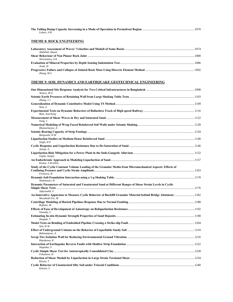| Lolaev, AB                       |  |
|----------------------------------|--|
| <b>THEME 8: ROCK ENGINEERING</b> |  |
| Abdullah, Hasan                  |  |
| Shrivastava, A K                 |  |
|                                  |  |

| Araki. H  |  |
|-----------|--|
|           |  |
| Zhang, MS |  |

#### **THEME 9: SOIL DYNAMICS AND EARTHQUAKE GEOTECHNICAL ENGINEERING**

| Ansary, MA                                                                                                                                                                                                                                |  |
|-------------------------------------------------------------------------------------------------------------------------------------------------------------------------------------------------------------------------------------------|--|
| Zhang, $JJ$                                                                                                                                                                                                                               |  |
| Wan. Z                                                                                                                                                                                                                                    |  |
| Bian, Xuecheng                                                                                                                                                                                                                            |  |
| Yang, J                                                                                                                                                                                                                                   |  |
| Bhattacharjee, A                                                                                                                                                                                                                          |  |
| Rangwala, H M                                                                                                                                                                                                                             |  |
| Singh, HP                                                                                                                                                                                                                                 |  |
| Juneja, A                                                                                                                                                                                                                                 |  |
| Gupta, Sanjay                                                                                                                                                                                                                             |  |
| Kumar, S Krishna                                                                                                                                                                                                                          |  |
| Study of the Cyclic Constant Volume Loading of the Granular Media from Micromechanical Aspects: Effects of<br>Ferdowsi, B                                                                                                                 |  |
| Shahnazari, H                                                                                                                                                                                                                             |  |
| Dynamic Parameters of Saturated and Unsaturated Sand at Different Ranges of Shear Strain Levels in Cyclic<br>Jafarzadeh, F<br>An Innovative Apparatus to Measure Cyclic Behavior of Backfill Granular Material behind Bridge Abutment1182 |  |
| Movahedi-Far, M                                                                                                                                                                                                                           |  |
| Rojhani, M                                                                                                                                                                                                                                |  |
| Yamada, S                                                                                                                                                                                                                                 |  |
| Shogaki, T                                                                                                                                                                                                                                |  |
| Sim, WW                                                                                                                                                                                                                                   |  |
| Bahmanpour, A                                                                                                                                                                                                                             |  |
| Hayakawa, K                                                                                                                                                                                                                               |  |
| Nagaoka, S                                                                                                                                                                                                                                |  |
| Fukuzawa, H                                                                                                                                                                                                                               |  |
| Kivota, T                                                                                                                                                                                                                                 |  |
| Kimoto, S                                                                                                                                                                                                                                 |  |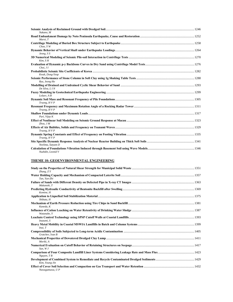| Nakano, M         |  |
|-------------------|--|
| Muroi. T          |  |
| Choo, YW          |  |
| Jeong, $S S$      |  |
| Kim. SH           |  |
| $Choi.$ $JI$      |  |
| Kwak, Dong-Yeop   |  |
| Ryu, Jeong Ho     |  |
| De Silva, L IN    |  |
| Lolaev, A B       |  |
| Truong, HVP       |  |
| Truong, HVP       |  |
| Puri, Vijay K     |  |
| $Zhou.$ $JM$      |  |
| Truong, HVP       |  |
| Truong, HVP       |  |
| Neelima, Satyam D |  |
| Nuzhdin, Leonid V |  |

#### **THEME 10: GEOENVIRONMENTAL ENGINEERING**

| Zhang, $ZY$      |  |
|------------------|--|
| Tan, Yun-Zhi     |  |
| Mukunoki. T      |  |
| Komine, H        |  |
| Shibata, H       |  |
| Kaneda, K        |  |
| Watanabe. Y      |  |
| Inazumi, S       |  |
| Inui. T          |  |
| Gratchev. Ivan B |  |
| Moriki. A        |  |
| Sun, WJ          |  |
| $N$ guyen, $T B$ |  |
| Kim, Young-Jin   |  |
| Nawagamuwa, U P  |  |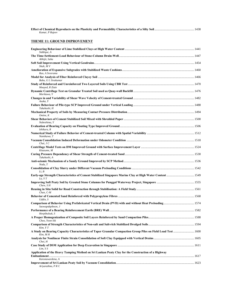| Kumar, P Rajeev                                                                                                         |  |
|-------------------------------------------------------------------------------------------------------------------------|--|
| <b>THEME 11: GROUND IMPROVEMENT</b>                                                                                     |  |
| Siddique, A                                                                                                             |  |
| Abhijit, Saha                                                                                                           |  |
| Shah, MV                                                                                                                |  |
| Rao, A Sreerama                                                                                                         |  |
| Babu, G L Sivakumar                                                                                                     |  |
| Moayed, R Ziaie                                                                                                         |  |
| Morikawa, Y                                                                                                             |  |
| Asaka, Y                                                                                                                |  |
| Takahashi, H                                                                                                            |  |
| Omine, K                                                                                                                |  |
| Nabeshima, Y                                                                                                            |  |
| Ishikura, R                                                                                                             |  |
| Namikawa, T                                                                                                             |  |
| Chai, $J C$                                                                                                             |  |
| Kitazume, M                                                                                                             |  |
| Takahashi, A                                                                                                            |  |
| Noda, T                                                                                                                 |  |
| Li, B                                                                                                                   |  |
| Lu, YT                                                                                                                  |  |
| Chew, SH                                                                                                                |  |
| $Chan. C-M$                                                                                                             |  |
| Uddin, S                                                                                                                |  |
| Saowapakpiboon, J                                                                                                       |  |
| Horpibulsuk, S                                                                                                          |  |
| Choo, Yoon-Sik                                                                                                          |  |
| Kim, YT                                                                                                                 |  |
| A Study on Bearing Capacity Characteristics of Taper Granular Compaction Group Piles on Field Load Test 1600<br>Kim, MH |  |
| Choi, H                                                                                                                 |  |
| Lim, S.S                                                                                                                |  |
| Application of the Heavy Tamping Method on Sri Lankan Peaty Clay for the Construction of a Highway                      |  |
| Karunawardena, A<br>Ariyarathna, P R C                                                                                  |  |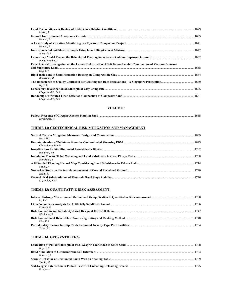| Lovisa. J                                                                                                                     |  |
|-------------------------------------------------------------------------------------------------------------------------------|--|
| Hamidi, B                                                                                                                     |  |
| Hamidi, B                                                                                                                     |  |
| Attom, MF                                                                                                                     |  |
| Pongsivasathit, S                                                                                                             |  |
| <b>Experimental Investigation on the Lateral Deformation of Soft Ground under Combination of Vacuum Pressure</b><br>Ong, $CT$ |  |
| Bouassida, M                                                                                                                  |  |
| Ng, C C                                                                                                                       |  |
| Chegenizadeh, Amin                                                                                                            |  |
| Chegenizadeh, Amin                                                                                                            |  |

#### **VOLUME 3**

| Niroumand, H |  |
|--------------|--|

#### **THEME 12: GEOTECHNICAL RISK MITIGATION AND MANAGEMENT**

| $H_0$ , $A N L$     |  |
|---------------------|--|
| Chakraborty, Ritwik |  |
| Bhagwan, Jai        |  |
| Murakami, S         |  |
| Suzuki. K           |  |
| Nakai. K            |  |
| Kojogulov, K Ch     |  |

# **THEME 13: QUANTITATIVE RISK ASSESSMENT**

| $Li$ . $JW$  |  |
|--------------|--|
|              |  |
| Kasama, K    |  |
| Nishimura, S |  |
| $Kim.$ K S   |  |
|              |  |
| Yoon, GL     |  |

#### **THEME 14: GEOSYNTHETICS**

| Naveri. A  |  |
|------------|--|
|            |  |
| Noorzad, A |  |
|            |  |
| Suzuki. M  |  |
|            |  |
| Kuwano, J  |  |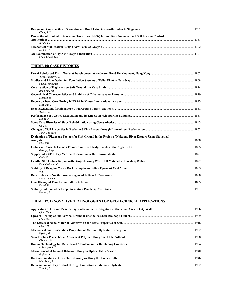| Chew. S H                                                                                           |      |
|-----------------------------------------------------------------------------------------------------|------|
| Properties of Limited Life Woven Geotextiles (LLGs) for Soil Reinforcement and Soil Erosion Control |      |
|                                                                                                     | 1787 |
| Artidteane, S                                                                                       |      |
|                                                                                                     |      |
| Hall, CD                                                                                            |      |
| Chen, Cheng-Wei                                                                                     | 1797 |

# **THEME 16: CASE HISTORIES**

| Wong, Anthony Y K                                                                                        |  |
|----------------------------------------------------------------------------------------------------------|--|
| Shukla, Jaykumar                                                                                         |  |
| Bhagwan, Jai                                                                                             |  |
| Mimura, M                                                                                                |  |
| Mizutani, T                                                                                              |  |
| Wong, I H                                                                                                |  |
| $Lin. H$ $D$                                                                                             |  |
| Ooi. TA                                                                                                  |  |
| Yang, Tae-Seon                                                                                           |  |
| Evaluation of Piezocone Factors for Soft Ground in the Region of Nakdong River Estuary Using Statistical |  |
|                                                                                                          |  |
| Kim, YH                                                                                                  |  |
| George, EAg                                                                                              |  |
| Cetin, E                                                                                                 |  |
| Doulala-Rigby, C                                                                                         |  |
| Row, I                                                                                                   |  |
| Kishor, Kumar                                                                                            |  |
| David, D                                                                                                 |  |
| Heidari, S                                                                                               |  |

#### **THEME 17: INNOVATIVE TECHNOLOGIES FOR GEOTECHNICAL APPLICATIONS**

| Oian, Chun-Yu  |  |
|----------------|--|
| Chau, S F      |  |
| Ghazi, H       |  |
| Hyodo, M       |  |
| Okamoto, K     |  |
| Fukubayashi, Y |  |
| Kojima, K      |  |
| Murakami, A    |  |
| Yoneda, J      |  |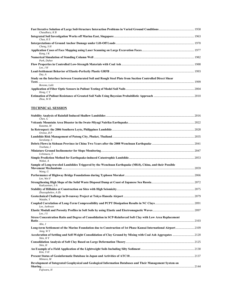| Chaudhary, $KB$                                                                                                             |  |
|-----------------------------------------------------------------------------------------------------------------------------|--|
| Chua, KE                                                                                                                    |  |
| Cheng, $S$ H                                                                                                                |  |
| Kang, $IK$                                                                                                                  |  |
| Park, Duhee                                                                                                                 |  |
| Lee, $JH$                                                                                                                   |  |
| Dev, A                                                                                                                      |  |
| Study on the Interface between Unsaturated Soil and Rough Steel Plate from Suction Controlled Direct Shear<br>Borana, Lalit |  |
| Hong, $CY$                                                                                                                  |  |
| Zhou, WH                                                                                                                    |  |

#### **TECHNICAL SESSION**

| Chen. G                                                                                                                       |  |
|-------------------------------------------------------------------------------------------------------------------------------|--|
| Kazama, M                                                                                                                     |  |
| Orense, RP                                                                                                                    |  |
|                                                                                                                               |  |
| Soralump, S                                                                                                                   |  |
| Towhata, I                                                                                                                    |  |
| Uchimura, T                                                                                                                   |  |
| Wakai, A                                                                                                                      |  |
| Sample of Long-traveled Landslides Triggered by the Wenchuan Earthquake (M8.0), China, and their Possible                     |  |
| Wang, G                                                                                                                       |  |
| Lee, Wei F                                                                                                                    |  |
| Kudryavtsev, SA                                                                                                               |  |
| Zhussupbekov, A Zh                                                                                                            |  |
| Watabe, Y                                                                                                                     |  |
| Lee, Junhwan                                                                                                                  |  |
| Lee, $JS$                                                                                                                     |  |
| Stress Concentration Ratio and Degree of Consolidation in SCP-Reinforced Soft Clay with Low Area Replacement                  |  |
| Ahn. J                                                                                                                        |  |
| Long-term Settlement of the Marine Foundation due to Construction of 1st Phase Kansai International Airport2109<br>Jang, $WY$ |  |
| Acceleration of Settling and Self-Weight Consolidation of Clay Ground by Mixing with Coal Ash Aggregates 2120<br>Shin, HY     |  |
| Shin. H                                                                                                                       |  |
| Kim, T-H                                                                                                                      |  |
| Mimura, M                                                                                                                     |  |
| Development of Integrated Geophysical and Geological Information Databases and Their Management System on                     |  |
| Fujiwara, H                                                                                                                   |  |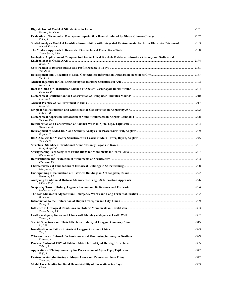| Hosaka, Yoshinori                                                                                                                    |  |
|--------------------------------------------------------------------------------------------------------------------------------------|--|
| Ebine, Y                                                                                                                             |  |
| Spatial Analysis Model of Landslide Susceptibility with Integrated Environmental Factor in Ulu Kinta Catchment2163<br>Ahmad, Fauziah |  |
| Zhusupbekov, A Zh                                                                                                                    |  |
| Geological Application of Computerized Geotechnical Borehole Database Subsurface Geology and Sedimental<br>Kitada, N                 |  |
| Yasuda, S                                                                                                                            |  |
| Suzuki, K                                                                                                                            |  |
|                                                                                                                                      |  |
| Iwasaki, Y                                                                                                                           |  |
| Onitsuka, K                                                                                                                          |  |
| Mimura, M                                                                                                                            |  |
| Hazarika, H                                                                                                                          |  |
| Fukuda, M                                                                                                                            |  |
| Santoro, VM                                                                                                                          |  |
| Watanabe, K                                                                                                                          |  |
| Koyama, T                                                                                                                            |  |
| Yamada, S                                                                                                                            |  |
| Hong, Sung-Gul                                                                                                                       |  |
| Khasanov, A Z                                                                                                                        |  |
| Chekaeva, R U                                                                                                                        |  |
| Mangushev, R                                                                                                                         |  |
| Nevsorov, AL                                                                                                                         |  |
| Ulitsky, VM                                                                                                                          |  |
| Lushnikov, V V                                                                                                                       |  |
| Bruno, A                                                                                                                             |  |
| Zhang, F                                                                                                                             |  |
| Zhusupbekov, A Z                                                                                                                     |  |
| Tanaka, K                                                                                                                            |  |
| Li, LH                                                                                                                               |  |
| Yan, F                                                                                                                               |  |
| Koizumi, K                                                                                                                           |  |
| Taheri, A                                                                                                                            |  |
| Fujii, Y                                                                                                                             |  |
| Tanimoto, C                                                                                                                          |  |
| Ching, J                                                                                                                             |  |